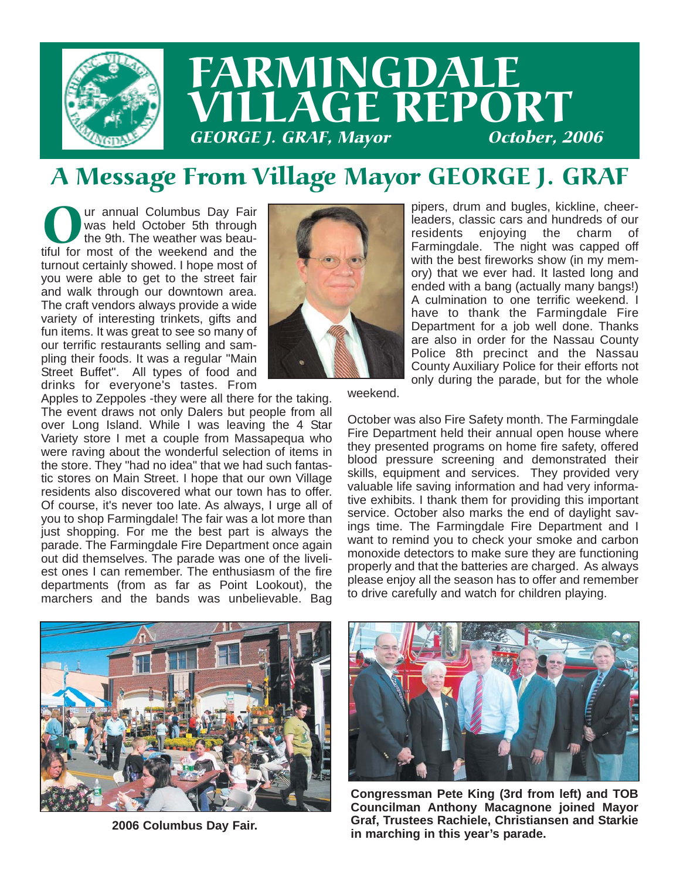

## A Message From Village Mayor GEORGE J. GRAF

Our annual Columbus Day Fair<br>tiful for most of the weather was beau-<br>tiful for most of the weekend and the was held October 5th through the 9th. The weather was beauturnout certainly showed. I hope most of you were able to get to the street fair and walk through our downtown area. The craft vendors always provide a wide variety of interesting trinkets, gifts and fun items. It was great to see so many of our terrific restaurants selling and sampling their foods. It was a regular "Main Street Buffet". All types of food and drinks for everyone's tastes. From



Apples to Zeppoles -they were all there for the taking. The event draws not only Dalers but people from all over Long Island. While I was leaving the 4 Star Variety store I met a couple from Massapequa who were raving about the wonderful selection of items in the store. They "had no idea" that we had such fantastic stores on Main Street. I hope that our own Village residents also discovered what our town has to offer. Of course, it's never too late. As always, I urge all of you to shop Farmingdale! The fair was a lot more than just shopping. For me the best part is always the parade. The Farmingdale Fire Department once again out did themselves. The parade was one of the liveliest ones I can remember. The enthusiasm of the fire departments (from as far as Point Lookout), the marchers and the bands was unbelievable. Bag

pipers, drum and bugles, kickline, cheerleaders, classic cars and hundreds of our residents enjoying the charm of Farmingdale. The night was capped off with the best fireworks show (in my memory) that we ever had. It lasted long and ended with a bang (actually many bangs!) A culmination to one terrific weekend. I have to thank the Farmingdale Fire Department for a job well done. Thanks are also in order for the Nassau County Police 8th precinct and the Nassau County Auxiliary Police for their efforts not only during the parade, but for the whole

weekend.

October was also Fire Safety month. The Farmingdale Fire Department held their annual open house where they presented programs on home fire safety, offered blood pressure screening and demonstrated their skills, equipment and services. They provided very valuable life saving information and had very informative exhibits. I thank them for providing this important service. October also marks the end of daylight savings time. The Farmingdale Fire Department and I want to remind you to check your smoke and carbon monoxide detectors to make sure they are functioning properly and that the batteries are charged. As always please enjoy all the season has to offer and remember to drive carefully and watch for children playing.



**2006 Columbus Day Fair.**



**Congressman Pete King (3rd from left) and TOB Councilman Anthony Macagnone joined Mayor Graf, Trustees Rachiele, Christiansen and Starkie in marching in this year's parade.**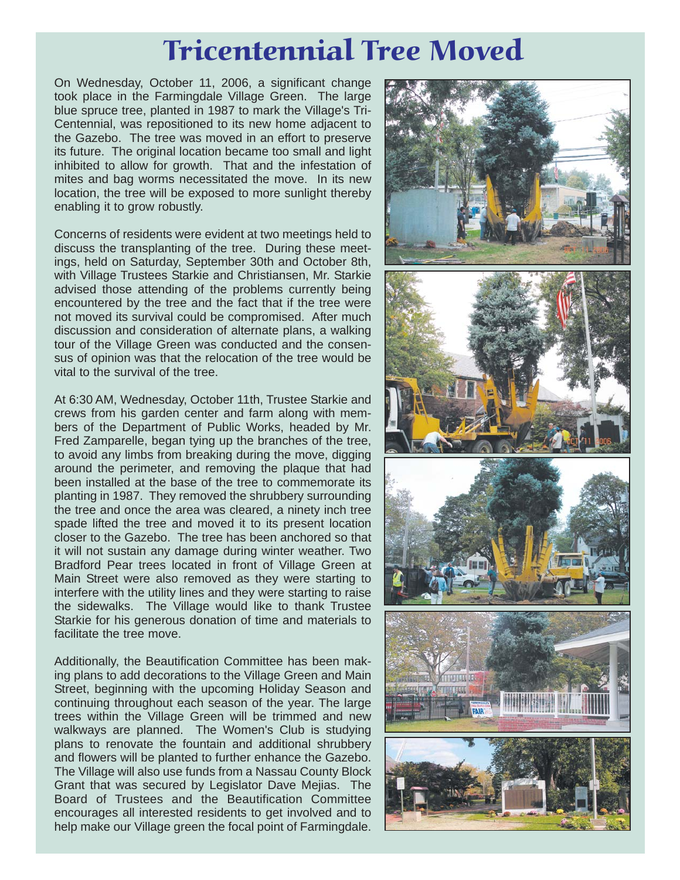# Tricentennial Tree Moved

On Wednesday, October 11, 2006, a significant change took place in the Farmingdale Village Green. The large blue spruce tree, planted in 1987 to mark the Village's Tri-Centennial, was repositioned to its new home adjacent to the Gazebo. The tree was moved in an effort to preserve its future. The original location became too small and light inhibited to allow for growth. That and the infestation of mites and bag worms necessitated the move. In its new location, the tree will be exposed to more sunlight thereby enabling it to grow robustly.

Concerns of residents were evident at two meetings held to discuss the transplanting of the tree. During these meetings, held on Saturday, September 30th and October 8th, with Village Trustees Starkie and Christiansen, Mr. Starkie advised those attending of the problems currently being encountered by the tree and the fact that if the tree were not moved its survival could be compromised. After much discussion and consideration of alternate plans, a walking tour of the Village Green was conducted and the consensus of opinion was that the relocation of the tree would be vital to the survival of the tree.

At 6:30 AM, Wednesday, October 11th, Trustee Starkie and crews from his garden center and farm along with members of the Department of Public Works, headed by Mr. Fred Zamparelle, began tying up the branches of the tree, to avoid any limbs from breaking during the move, digging around the perimeter, and removing the plaque that had been installed at the base of the tree to commemorate its planting in 1987. They removed the shrubbery surrounding the tree and once the area was cleared, a ninety inch tree spade lifted the tree and moved it to its present location closer to the Gazebo. The tree has been anchored so that it will not sustain any damage during winter weather. Two Bradford Pear trees located in front of Village Green at Main Street were also removed as they were starting to interfere with the utility lines and they were starting to raise the sidewalks. The Village would like to thank Trustee Starkie for his generous donation of time and materials to facilitate the tree move.

Additionally, the Beautification Committee has been making plans to add decorations to the Village Green and Main Street, beginning with the upcoming Holiday Season and continuing throughout each season of the year. The large trees within the Village Green will be trimmed and new walkways are planned. The Women's Club is studying plans to renovate the fountain and additional shrubbery and flowers will be planted to further enhance the Gazebo. The Village will also use funds from a Nassau County Block Grant that was secured by Legislator Dave Mejias. The Board of Trustees and the Beautification Committee encourages all interested residents to get involved and to help make our Village green the focal point of Farmingdale.

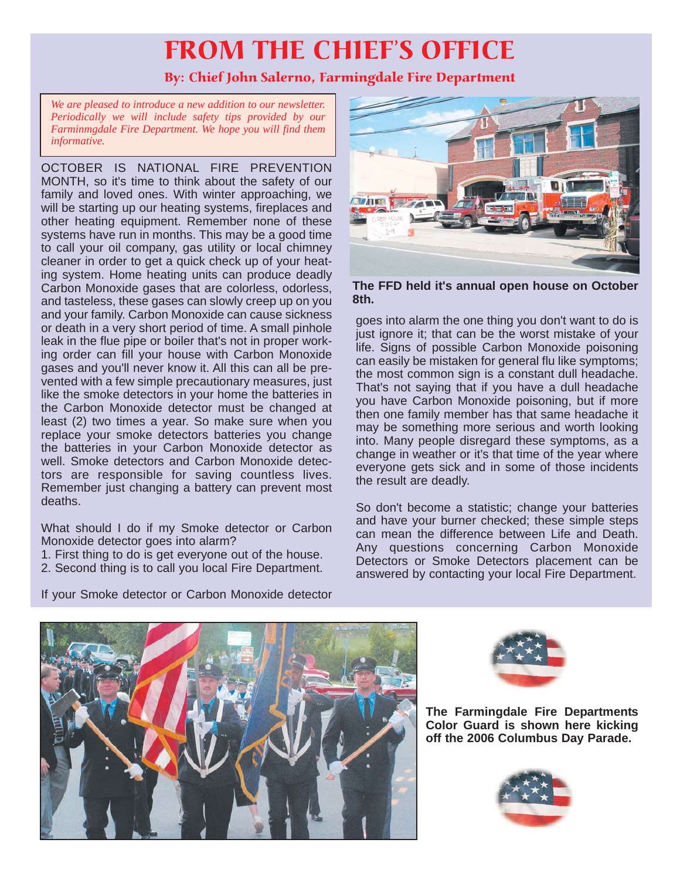## FROM THE CHIEF'S OFFICE

### By: Chief John Salerno, Farmingdale Fire Department

*We are pleased to introduce a new addition to our newsletter. Periodically we will include safety tips provided by our Farminmgdale Fire Department. We hope you will find them informative.*

OCTOBER IS NATIONAL FIRE PREVENTION MONTH, so it's time to think about the safety of our family and loved ones. With winter approaching, we will be starting up our heating systems, fireplaces and other heating equipment. Remember none of these systems have run in months. This may be a good time to call your oil company, gas utility or local chimney cleaner in order to get a quick check up of your heating system. Home heating units can produce deadly Carbon Monoxide gases that are colorless, odorless, and tasteless, these gases can slowly creep up on you and your family. Carbon Monoxide can cause sickness or death in a very short period of time. A small pinhole leak in the flue pipe or boiler that's not in proper working order can fill your house with Carbon Monoxide gases and you'll never know it. All this can all be prevented with a few simple precautionary measures, just like the smoke detectors in your home the batteries in the Carbon Monoxide detector must be changed at least (2) two times a year. So make sure when you replace your smoke detectors batteries you change the batteries in your Carbon Monoxide detector as well. Smoke detectors and Carbon Monoxide detectors are responsible for saving countless lives. Remember just changing a battery can prevent most deaths.

What should I do if my Smoke detector or Carbon Monoxide detector goes into alarm?

- 1. First thing to do is get everyone out of the house.
- 2. Second thing is to call you local Fire Department.



**The FFD held it's annual open house on October 8th.**

goes into alarm the one thing you don't want to do is just ignore it; that can be the worst mistake of your life. Signs of possible Carbon Monoxide poisoning can easily be mistaken for general flu like symptoms; the most common sign is a constant dull headache. That's not saying that if you have a dull headache you have Carbon Monoxide poisoning, but if more then one family member has that same headache it may be something more serious and worth looking into. Many people disregard these symptoms, as a change in weather or it's that time of the year where everyone gets sick and in some of those incidents the result are deadly.

So don't become a statistic; change your batteries and have your burner checked; these simple steps can mean the difference between Life and Death. Any questions concerning Carbon Monoxide Detectors or Smoke Detectors placement can be answered by contacting your local Fire Department.





**The Farmingdale Fire Departments Color Guard is shown here kicking off the 2006 Columbus Day Parade.**



If your Smoke detector or Carbon Monoxide detector